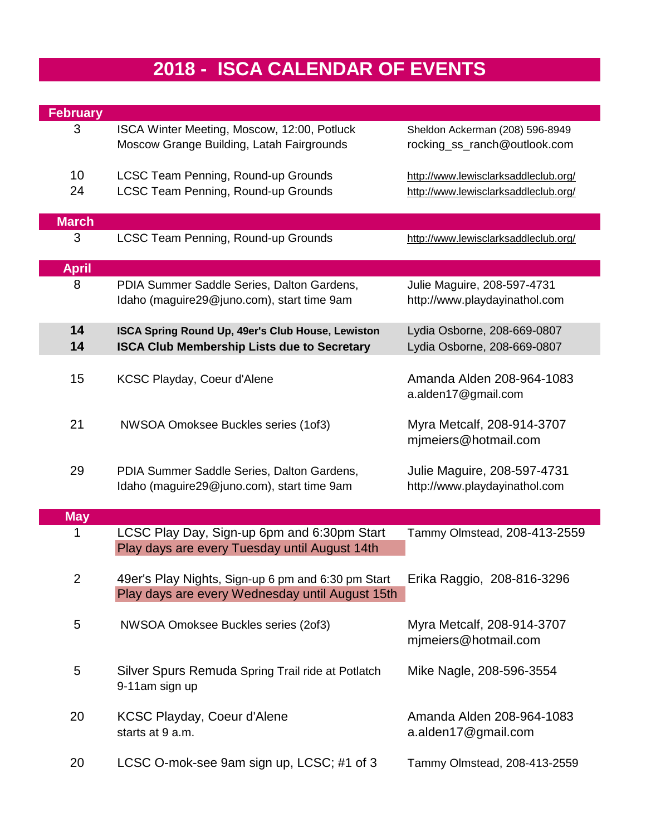## **2018 - ISCA CALENDAR OF EVENTS**

| <b>February</b> |                                                                                                         |                                                                              |
|-----------------|---------------------------------------------------------------------------------------------------------|------------------------------------------------------------------------------|
| 3               | ISCA Winter Meeting, Moscow, 12:00, Potluck<br>Moscow Grange Building, Latah Fairgrounds                | Sheldon Ackerman (208) 596-8949<br>rocking_ss_ranch@outlook.com              |
| 10<br>24        | LCSC Team Penning, Round-up Grounds<br>LCSC Team Penning, Round-up Grounds                              | http://www.lewisclarksaddleclub.org/<br>http://www.lewisclarksaddleclub.org/ |
| <b>March</b>    |                                                                                                         |                                                                              |
| 3               | LCSC Team Penning, Round-up Grounds                                                                     | http://www.lewisclarksaddleclub.org/                                         |
| <b>April</b>    |                                                                                                         |                                                                              |
| 8               | PDIA Summer Saddle Series, Dalton Gardens,<br>Idaho (maguire29@juno.com), start time 9am                | Julie Maguire, 208-597-4731<br>http://www.playdayinathol.com                 |
| 14<br>14        | ISCA Spring Round Up, 49er's Club House, Lewiston<br><b>ISCA Club Membership Lists due to Secretary</b> | Lydia Osborne, 208-669-0807<br>Lydia Osborne, 208-669-0807                   |
| 15              | KCSC Playday, Coeur d'Alene                                                                             | Amanda Alden 208-964-1083<br>a.alden17@gmail.com                             |
| 21              | NWSOA Omoksee Buckles series (1of3)                                                                     | Myra Metcalf, 208-914-3707<br>mimeiers@hotmail.com                           |
| 29              | PDIA Summer Saddle Series, Dalton Gardens,<br>Idaho (maguire29@juno.com), start time 9am                | Julie Maguire, 208-597-4731<br>http://www.playdayinathol.com                 |
| <b>May</b>      |                                                                                                         |                                                                              |
| 1               | LCSC Play Day, Sign-up 6pm and 6:30pm Start<br>Play days are every Tuesday until August 14th            | Tammy Olmstead, 208-413-2559                                                 |
| 2               | 49er's Play Nights, Sign-up 6 pm and 6:30 pm Start<br>Play days are every Wednesday until August 15th   | Erika Raggio, 208-816-3296                                                   |
| 5               | NWSOA Omoksee Buckles series (2of3)                                                                     | Myra Metcalf, 208-914-3707<br>mjmeiers@hotmail.com                           |
| 5               | Silver Spurs Remuda Spring Trail ride at Potlatch<br>9-11am sign up                                     | Mike Nagle, 208-596-3554                                                     |
| 20              | <b>KCSC Playday, Coeur d'Alene</b><br>starts at 9 a.m.                                                  | Amanda Alden 208-964-1083<br>a.alden17@gmail.com                             |
| 20              | LCSC O-mok-see 9am sign up, LCSC; #1 of 3                                                               | Tammy Olmstead, 208-413-2559                                                 |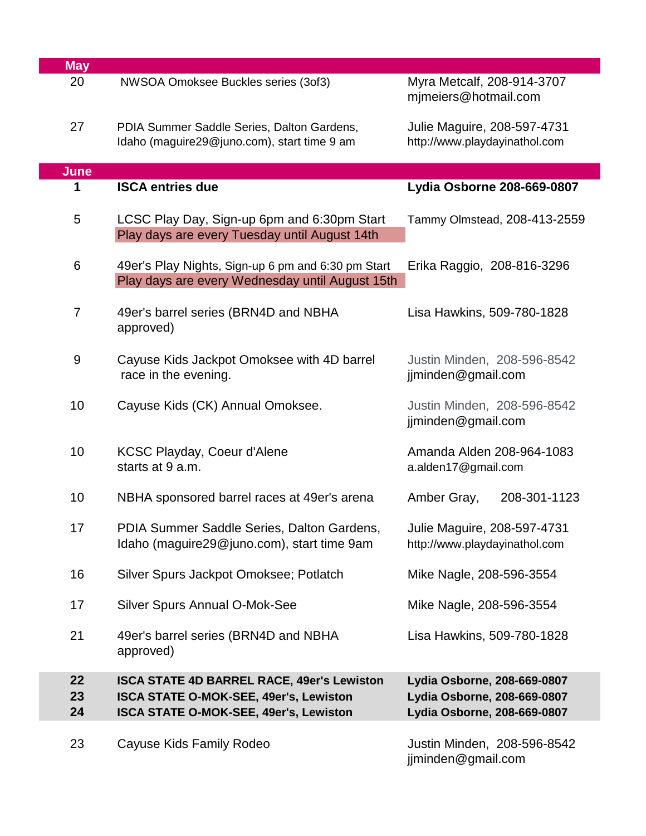| <b>May</b>                                                                                        |                                                                                                                                     |                                                              |  |
|---------------------------------------------------------------------------------------------------|-------------------------------------------------------------------------------------------------------------------------------------|--------------------------------------------------------------|--|
| 20                                                                                                | NWSOA Omoksee Buckles series (3of3)                                                                                                 | Myra Metcalf, 208-914-3707<br>mjmeiers@hotmail.com           |  |
| 27<br>PDIA Summer Saddle Series, Dalton Gardens,<br>Idaho (maguire29@juno.com), start time 9 am   |                                                                                                                                     | Julie Maguire, 208-597-4731<br>http://www.playdayinathol.com |  |
| <b>June</b>                                                                                       |                                                                                                                                     |                                                              |  |
| 1                                                                                                 | <b>ISCA entries due</b>                                                                                                             | Lydia Osborne 208-669-0807                                   |  |
| 5<br>LCSC Play Day, Sign-up 6pm and 6:30pm Start<br>Play days are every Tuesday until August 14th |                                                                                                                                     | Tammy Olmstead, 208-413-2559                                 |  |
| 6                                                                                                 | 49er's Play Nights, Sign-up 6 pm and 6:30 pm Start<br>Erika Raggio, 208-816-3296<br>Play days are every Wednesday until August 15th |                                                              |  |
| $\overline{7}$                                                                                    | 49er's barrel series (BRN4D and NBHA<br>Lisa Hawkins, 509-780-1828<br>approved)                                                     |                                                              |  |
| $9\,$                                                                                             | Cayuse Kids Jackpot Omoksee with 4D barrel<br>Justin Minden, 208-596-8542<br>race in the evening.<br>jjminden@gmail.com             |                                                              |  |
| 10                                                                                                | Cayuse Kids (CK) Annual Omoksee.                                                                                                    | Justin Minden, 208-596-8542<br>jjminden@gmail.com            |  |
| 10<br><b>KCSC Playday, Coeur d'Alene</b><br>starts at 9 a.m.                                      |                                                                                                                                     | Amanda Alden 208-964-1083<br>a.alden17@gmail.com             |  |
| 10<br>NBHA sponsored barrel races at 49er's arena                                                 |                                                                                                                                     | Amber Gray,<br>208-301-1123                                  |  |
| 17<br>PDIA Summer Saddle Series, Dalton Gardens,<br>Idaho (maguire29@juno.com), start time 9am    |                                                                                                                                     | Julie Maguire, 208-597-4731<br>http://www.playdayinathol.com |  |
| 16                                                                                                | Silver Spurs Jackpot Omoksee; Potlatch                                                                                              | Mike Nagle, 208-596-3554                                     |  |
| 17                                                                                                | <b>Silver Spurs Annual O-Mok-See</b><br>Mike Nagle, 208-596-3554                                                                    |                                                              |  |
| 21                                                                                                | 49er's barrel series (BRN4D and NBHA<br>Lisa Hawkins, 509-780-1828<br>approved)                                                     |                                                              |  |
| 22                                                                                                | ISCA STATE 4D BARREL RACE, 49er's Lewiston                                                                                          | Lydia Osborne, 208-669-0807                                  |  |
| 23                                                                                                | ISCA STATE O-MOK-SEE, 49er's, Lewiston                                                                                              | Lydia Osborne, 208-669-0807                                  |  |
| 24                                                                                                | ISCA STATE O-MOK-SEE, 49er's, Lewiston                                                                                              | Lydia Osborne, 208-669-0807                                  |  |
| 23                                                                                                | Cayuse Kids Family Rodeo                                                                                                            | Justin Minden, 208-596-8542<br>jjminden@gmail.com            |  |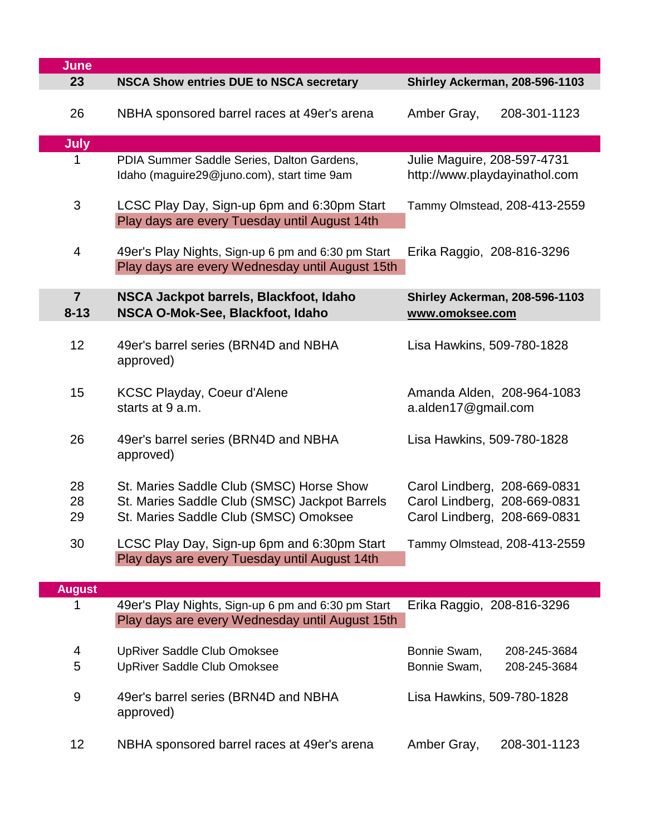| June                       |                                                                                                                                    |                                                                                              |  |
|----------------------------|------------------------------------------------------------------------------------------------------------------------------------|----------------------------------------------------------------------------------------------|--|
| 23                         | <b>NSCA Show entries DUE to NSCA secretary</b>                                                                                     | <b>Shirley Ackerman, 208-596-1103</b>                                                        |  |
| 26                         | NBHA sponsored barrel races at 49er's arena<br>Amber Gray,<br>208-301-1123                                                         |                                                                                              |  |
| <b>July</b>                |                                                                                                                                    |                                                                                              |  |
| 1                          | PDIA Summer Saddle Series, Dalton Gardens,<br>Idaho (maguire29@juno.com), start time 9am                                           | Julie Maguire, 208-597-4731<br>http://www.playdayinathol.com                                 |  |
| 3                          | LCSC Play Day, Sign-up 6pm and 6:30pm Start<br>Play days are every Tuesday until August 14th                                       | Tammy Olmstead, 208-413-2559                                                                 |  |
| 4                          | 49er's Play Nights, Sign-up 6 pm and 6:30 pm Start<br>Play days are every Wednesday until August 15th                              | Erika Raggio, 208-816-3296                                                                   |  |
| $\overline{7}$<br>$8 - 13$ | NSCA Jackpot barrels, Blackfoot, Idaho<br>NSCA O-Mok-See, Blackfoot, Idaho                                                         | <b>Shirley Ackerman, 208-596-1103</b><br>www.omoksee.com                                     |  |
| 12                         | 49er's barrel series (BRN4D and NBHA<br>approved)                                                                                  | Lisa Hawkins, 509-780-1828                                                                   |  |
| 15                         | <b>KCSC Playday, Coeur d'Alene</b><br>starts at 9 a.m.                                                                             | Amanda Alden, 208-964-1083<br>a.alden17@gmail.com                                            |  |
| 26                         | 49er's barrel series (BRN4D and NBHA<br>approved)                                                                                  | Lisa Hawkins, 509-780-1828                                                                   |  |
| 28<br>28<br>29             | St. Maries Saddle Club (SMSC) Horse Show<br>St. Maries Saddle Club (SMSC) Jackpot Barrels<br>St. Maries Saddle Club (SMSC) Omoksee | Carol Lindberg, 208-669-0831<br>Carol Lindberg, 208-669-0831<br>Carol Lindberg, 208-669-0831 |  |
| 30                         | LCSC Play Day, Sign-up 6pm and 6:30pm Start<br>Tammy Olmstead, 208-413-2559<br>Play days are every Tuesday until August 14th       |                                                                                              |  |
| <b>August</b>              |                                                                                                                                    |                                                                                              |  |
| 1                          | 49er's Play Nights, Sign-up 6 pm and 6:30 pm Start<br>Play days are every Wednesday until August 15th                              | Erika Raggio, 208-816-3296                                                                   |  |
| 4<br>5                     | <b>UpRiver Saddle Club Omoksee</b><br><b>UpRiver Saddle Club Omoksee</b>                                                           | Bonnie Swam,<br>208-245-3684<br>Bonnie Swam,<br>208-245-3684                                 |  |
| 9                          | 49er's barrel series (BRN4D and NBHA<br>approved)                                                                                  | Lisa Hawkins, 509-780-1828                                                                   |  |
| 12                         | NBHA sponsored barrel races at 49er's arena                                                                                        | Amber Gray,<br>208-301-1123                                                                  |  |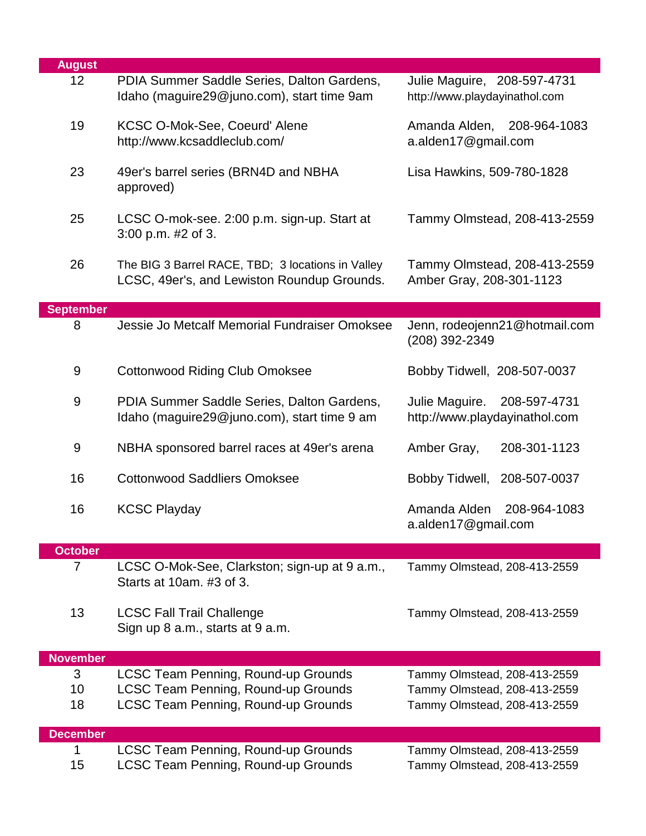| <b>August</b>    |                                                                                                      |                                                                 |  |
|------------------|------------------------------------------------------------------------------------------------------|-----------------------------------------------------------------|--|
| 12               | PDIA Summer Saddle Series, Dalton Gardens,<br>Idaho (maguire29@juno.com), start time 9am             | Julie Maguire, 208-597-4731<br>http://www.playdayinathol.com    |  |
| 19               | KCSC O-Mok-See, Coeurd' Alene<br>http://www.kcsaddleclub.com/                                        | Amanda Alden, 208-964-1083<br>a.alden17@gmail.com               |  |
| 23               | 49er's barrel series (BRN4D and NBHA<br>approved)                                                    | Lisa Hawkins, 509-780-1828                                      |  |
| 25               | LCSC O-mok-see. 2:00 p.m. sign-up. Start at<br>3:00 p.m. #2 of 3.                                    | Tammy Olmstead, 208-413-2559                                    |  |
| 26               | The BIG 3 Barrel RACE, TBD; 3 locations in Valley<br>LCSC, 49er's, and Lewiston Roundup Grounds.     | Tammy Olmstead, 208-413-2559<br>Amber Gray, 208-301-1123        |  |
| <b>September</b> |                                                                                                      |                                                                 |  |
| 8                | Jessie Jo Metcalf Memorial Fundraiser Omoksee                                                        | Jenn, rodeojenn21@hotmail.com<br>(208) 392-2349                 |  |
| 9                | <b>Cottonwood Riding Club Omoksee</b>                                                                | Bobby Tidwell, 208-507-0037                                     |  |
| 9                | PDIA Summer Saddle Series, Dalton Gardens,<br>Idaho (maguire29@juno.com), start time 9 am            | Julie Maguire.<br>208-597-4731<br>http://www.playdayinathol.com |  |
| 9                | NBHA sponsored barrel races at 49er's arena                                                          | 208-301-1123<br>Amber Gray,                                     |  |
| 16               | <b>Cottonwood Saddliers Omoksee</b>                                                                  | Bobby Tidwell,<br>208-507-0037                                  |  |
| 16               | <b>KCSC Playday</b><br>Amanda Alden<br>208-964-1083<br>a.alden17@gmail.com                           |                                                                 |  |
| <b>October</b>   |                                                                                                      |                                                                 |  |
| $\overline{7}$   | LCSC O-Mok-See, Clarkston; sign-up at 9 a.m.,<br>Starts at 10am, #3 of 3.                            | Tammy Olmstead, 208-413-2559                                    |  |
| 13               | <b>LCSC Fall Trail Challenge</b><br>Tammy Olmstead, 208-413-2559<br>Sign up 8 a.m., starts at 9 a.m. |                                                                 |  |
| <b>November</b>  |                                                                                                      |                                                                 |  |
| 3                | LCSC Team Penning, Round-up Grounds                                                                  | Tammy Olmstead, 208-413-2559                                    |  |
| 10               | <b>LCSC Team Penning, Round-up Grounds</b>                                                           | Tammy Olmstead, 208-413-2559                                    |  |
| 18               | LCSC Team Penning, Round-up Grounds                                                                  | Tammy Olmstead, 208-413-2559                                    |  |
| <b>December</b>  |                                                                                                      |                                                                 |  |
| 1                | LCSC Team Penning, Round-up Grounds                                                                  | Tammy Olmstead, 208-413-2559                                    |  |
| 15               | LCSC Team Penning, Round-up Grounds                                                                  | Tammy Olmstead, 208-413-2559                                    |  |